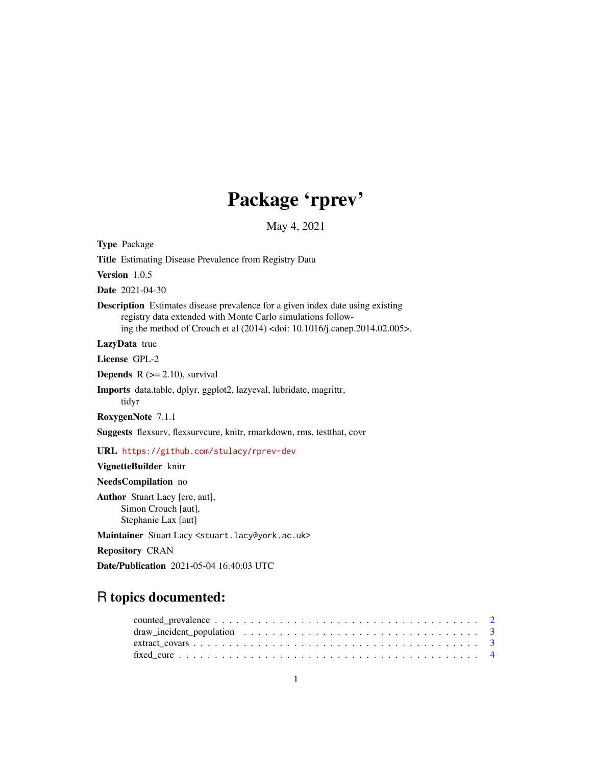# Package 'rprev'

May 4, 2021

Type Package

Title Estimating Disease Prevalence from Registry Data

Version 1.0.5

Date 2021-04-30

Description Estimates disease prevalence for a given index date using existing registry data extended with Monte Carlo simulations following the method of Crouch et al (2014) <doi: 10.1016/j.canep.2014.02.005>.

LazyData true

License GPL-2

**Depends**  $R$  ( $>= 2.10$ ), survival

Imports data.table, dplyr, ggplot2, lazyeval, lubridate, magrittr, tidyr

RoxygenNote 7.1.1

Suggests flexsurv, flexsurvcure, knitr, rmarkdown, rms, testthat, covr

URL <https://github.com/stulacy/rprev-dev>

VignetteBuilder knitr

NeedsCompilation no

Author Stuart Lacy [cre, aut], Simon Crouch [aut], Stephanie Lax [aut]

Maintainer Stuart Lacy <stuart.lacy@york.ac.uk>

Repository CRAN

Date/Publication 2021-05-04 16:40:03 UTC

# R topics documented: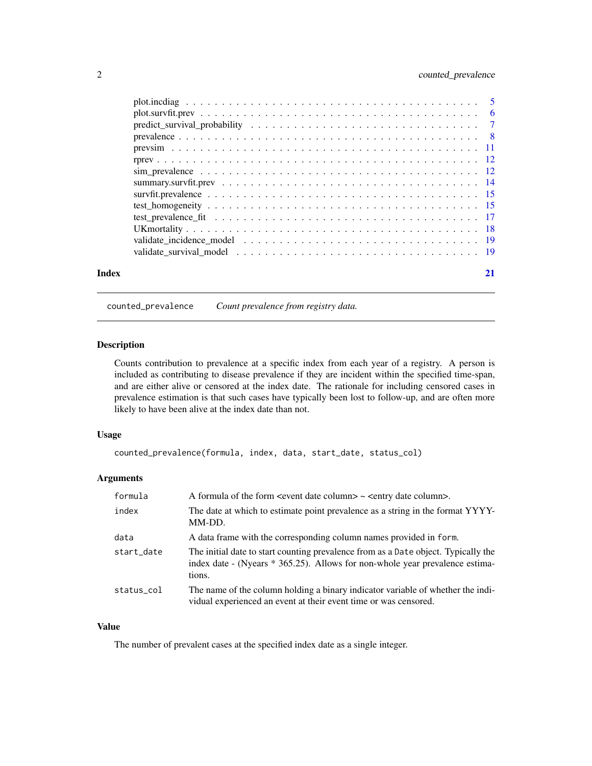# <span id="page-1-0"></span>2 counted\_prevalence

| Index |  |
|-------|--|
|       |  |
|       |  |
|       |  |
|       |  |
|       |  |
|       |  |
|       |  |
|       |  |
|       |  |
|       |  |
|       |  |
|       |  |
|       |  |
|       |  |

counted\_prevalence *Count prevalence from registry data.*

# Description

Counts contribution to prevalence at a specific index from each year of a registry. A person is included as contributing to disease prevalence if they are incident within the specified time-span, and are either alive or censored at the index date. The rationale for including censored cases in prevalence estimation is that such cases have typically been lost to follow-up, and are often more likely to have been alive at the index date than not.

#### Usage

```
counted_prevalence(formula, index, data, start_date, status_col)
```
# Arguments

| formula    |                                                                                                                                                                              |
|------------|------------------------------------------------------------------------------------------------------------------------------------------------------------------------------|
| index      | The date at which to estimate point prevalence as a string in the format YYYY-<br>MM-DD.                                                                                     |
| data       | A data frame with the corresponding column names provided in form.                                                                                                           |
| start_date | The initial date to start counting prevalence from as a Date object. Typically the<br>index date - (Nyears * 365.25). Allows for non-whole year prevalence estima-<br>tions. |
| status_col | The name of the column holding a binary indicator variable of whether the indi-<br>vidual experienced an event at their event time or was censored.                          |

# Value

The number of prevalent cases at the specified index date as a single integer.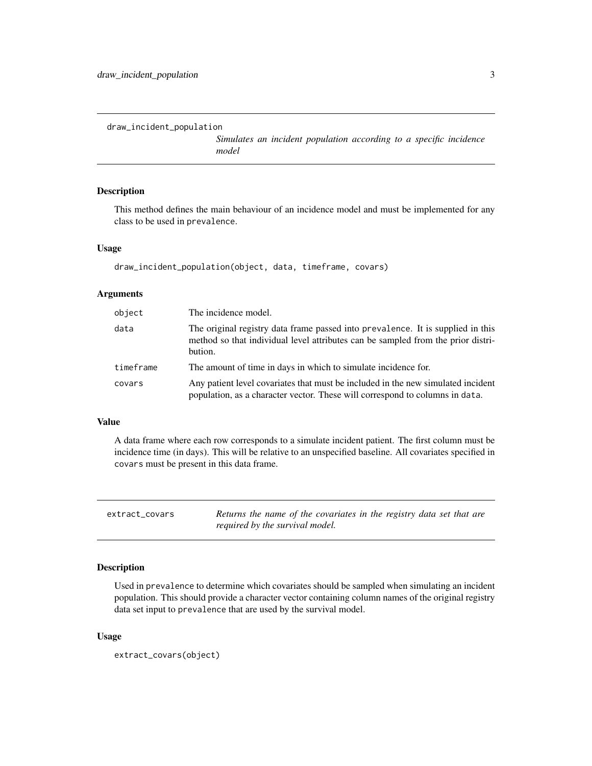```
draw_incident_population
```
*Simulates an incident population according to a specific incidence model*

# Description

This method defines the main behaviour of an incidence model and must be implemented for any class to be used in prevalence.

#### Usage

```
draw_incident_population(object, data, timeframe, covars)
```
# Arguments

| object    | The incidence model.                                                                                                                                                           |
|-----------|--------------------------------------------------------------------------------------------------------------------------------------------------------------------------------|
| data      | The original registry data frame passed into prevalence. It is supplied in this<br>method so that individual level attributes can be sampled from the prior distri-<br>bution. |
| timeframe | The amount of time in days in which to simulate incidence for.                                                                                                                 |
| covars    | Any patient level covariates that must be included in the new simulated incident<br>population, as a character vector. These will correspond to columns in data.               |

### Value

A data frame where each row corresponds to a simulate incident patient. The first column must be incidence time (in days). This will be relative to an unspecified baseline. All covariates specified in covars must be present in this data frame.

extract\_covars *Returns the name of the covariates in the registry data set that are required by the survival model.*

# Description

Used in prevalence to determine which covariates should be sampled when simulating an incident population. This should provide a character vector containing column names of the original registry data set input to prevalence that are used by the survival model.

#### Usage

```
extract_covars(object)
```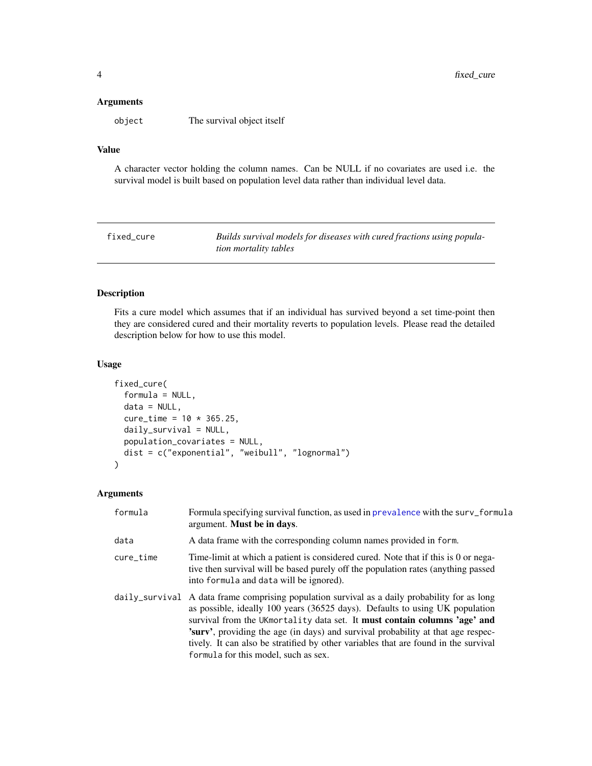#### <span id="page-3-0"></span>Arguments

object The survival object itself

# Value

A character vector holding the column names. Can be NULL if no covariates are used i.e. the survival model is built based on population level data rather than individual level data.

fixed\_cure *Builds survival models for diseases with cured fractions using population mortality tables*

# Description

Fits a cure model which assumes that if an individual has survived beyond a set time-point then they are considered cured and their mortality reverts to population levels. Please read the detailed description below for how to use this model.

#### Usage

```
fixed_cure(
  formula = NULL,
  data = NULL,
  cure_time = 10 * 365.25,daily_survival = NULL,
  population_covariates = NULL,
  dist = c("exponential", "weibull", "lognormal")
)
```
#### Arguments

| formula   | Formula specifying survival function, as used in prevalence with the surv_formula<br>argument. Must be in days.                                                                                                                                                                                                                                                                                                                                                                     |
|-----------|-------------------------------------------------------------------------------------------------------------------------------------------------------------------------------------------------------------------------------------------------------------------------------------------------------------------------------------------------------------------------------------------------------------------------------------------------------------------------------------|
| data      | A data frame with the corresponding column names provided in form.                                                                                                                                                                                                                                                                                                                                                                                                                  |
| cure_time | Time-limit at which a patient is considered cured. Note that if this is 0 or nega-<br>tive then survival will be based purely off the population rates (anything passed<br>into formula and data will be ignored).                                                                                                                                                                                                                                                                  |
|           | daily_survival A data frame comprising population survival as a daily probability for as long<br>as possible, ideally 100 years (36525 days). Defaults to using UK population<br>survival from the UKmortality data set. It must contain columns 'age' and<br><b>Surv</b> , providing the age (in days) and survival probability at that age respec-<br>tively. It can also be stratified by other variables that are found in the survival<br>formula for this model, such as sex. |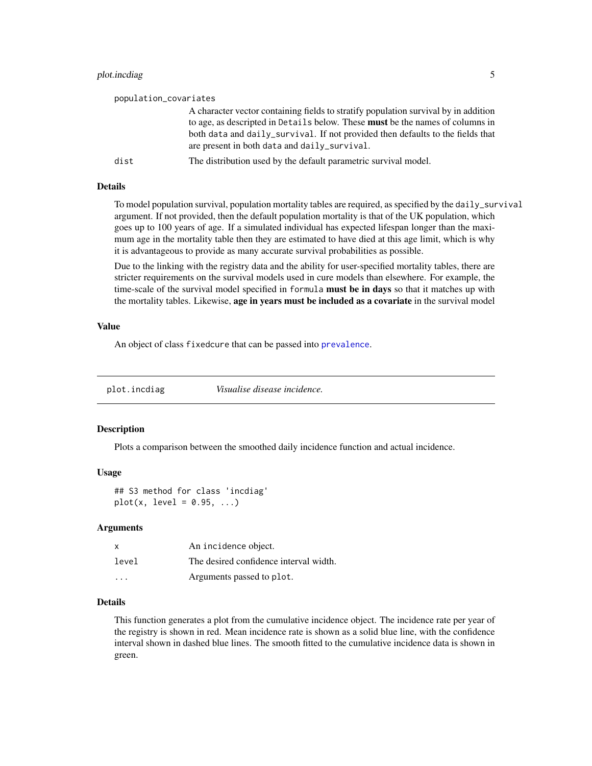# <span id="page-4-0"></span>plot.incdiag 5

| population_covariates |                                                                                      |
|-----------------------|--------------------------------------------------------------------------------------|
|                       | A character vector containing fields to stratify population survival by in addition  |
|                       | to age, as descripted in Details below. These <b>must</b> be the names of columns in |
|                       | both data and daily_survival. If not provided then defaults to the fields that       |
|                       | are present in both data and daily_survival.                                         |
| dist                  | The distribution used by the default parametric survival model.                      |

#### Details

To model population survival, population mortality tables are required, as specified by the daily\_survival argument. If not provided, then the default population mortality is that of the UK population, which goes up to 100 years of age. If a simulated individual has expected lifespan longer than the maximum age in the mortality table then they are estimated to have died at this age limit, which is why it is advantageous to provide as many accurate survival probabilities as possible.

Due to the linking with the registry data and the ability for user-specified mortality tables, there are stricter requirements on the survival models used in cure models than elsewhere. For example, the time-scale of the survival model specified in formula must be in days so that it matches up with the mortality tables. Likewise, age in years must be included as a covariate in the survival model

#### Value

An object of class fixedcure that can be passed into [prevalence](#page-7-1).

plot.incdiag *Visualise disease incidence.*

#### Description

Plots a comparison between the smoothed daily incidence function and actual incidence.

# Usage

```
## S3 method for class 'incdiag'
plot(x, level = 0.95, ...)
```
#### Arguments

| $\mathbf{x}$ | An incidence object.                   |
|--------------|----------------------------------------|
| level        | The desired confidence interval width. |
| $\cdot$      | Arguments passed to plot.              |

#### Details

This function generates a plot from the cumulative incidence object. The incidence rate per year of the registry is shown in red. Mean incidence rate is shown as a solid blue line, with the confidence interval shown in dashed blue lines. The smooth fitted to the cumulative incidence data is shown in green.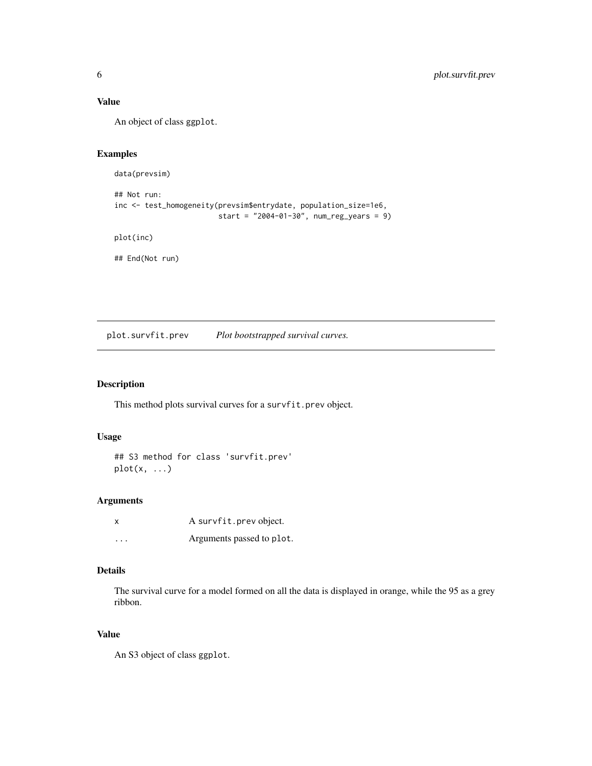# Value

An object of class ggplot.

# Examples

data(prevsim)

```
## Not run:
inc <- test_homogeneity(prevsim$entrydate, population_size=1e6,
                       start = "2004-01-30", num_reg_years = 9)
```
plot(inc)

## End(Not run)

plot.survfit.prev *Plot bootstrapped survival curves.*

# Description

This method plots survival curves for a survfit.prev object.

# Usage

## S3 method for class 'survfit.prev'  $plot(x, \ldots)$ 

# Arguments

| x        | A survfit.prev object.    |
|----------|---------------------------|
| $\cdots$ | Arguments passed to plot. |

# Details

The survival curve for a model formed on all the data is displayed in orange, while the 95 as a grey ribbon.

# Value

An S3 object of class ggplot.

<span id="page-5-0"></span>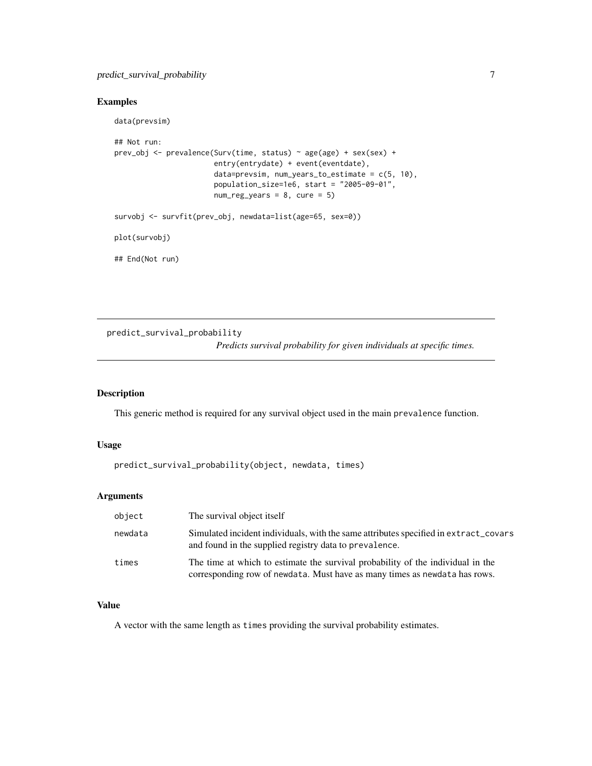# <span id="page-6-0"></span>predict\_survival\_probability 7

# Examples

data(prevsim)

```
## Not run:
prev_obj <- prevalence(Surv(time, status) ~ age(age) + sex(sex) +
                       entry(entrydate) + event(eventdate),
                       data=prevsim, num_years_to_estimate = c(5, 10),
                       population_size=1e6, start = "2005-09-01",
                       num\_reg\_years = 8, cure = 5)
survobj <- survfit(prev_obj, newdata=list(age=65, sex=0))
plot(survobj)
```
## End(Not run)

predict\_survival\_probability *Predicts survival probability for given individuals at specific times.*

# Description

This generic method is required for any survival object used in the main prevalence function.

#### Usage

```
predict_survival_probability(object, newdata, times)
```
# Arguments

| object  | The survival object itself                                                                                                                                    |
|---------|---------------------------------------------------------------------------------------------------------------------------------------------------------------|
| newdata | Simulated incident individuals, with the same attributes specified in extract_covars<br>and found in the supplied registry data to prevalence.                |
| times   | The time at which to estimate the survival probability of the individual in the<br>corresponding row of newdata. Must have as many times as newdata has rows. |

# Value

A vector with the same length as times providing the survival probability estimates.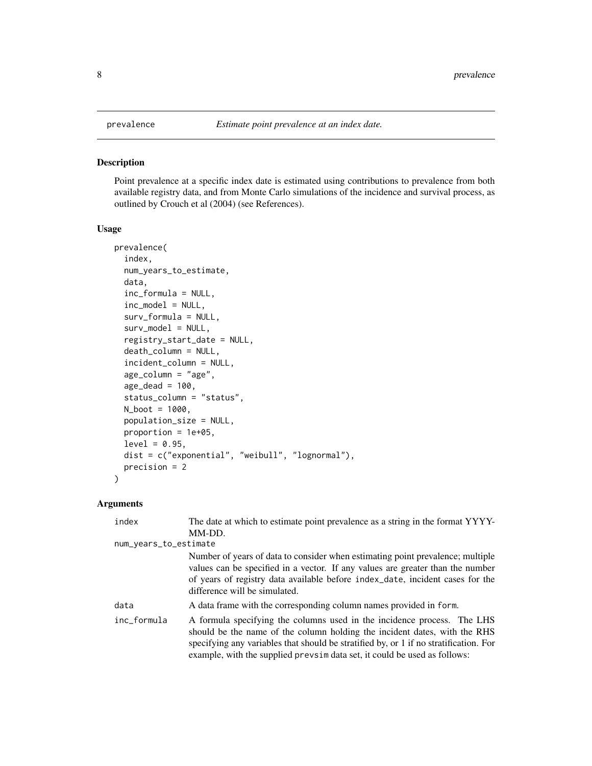#### Description

Point prevalence at a specific index date is estimated using contributions to prevalence from both available registry data, and from Monte Carlo simulations of the incidence and survival process, as outlined by Crouch et al (2004) (see References).

#### Usage

```
prevalence(
  index,
  num_years_to_estimate,
  data,
  inc_formula = NULL,
  inc_model = NULL,
  surv_formula = NULL,
  surv_model = NULL,
  registry_start_date = NULL,
  death_column = NULL,
  incident_column = NULL,
  age_column = "age",
  age\_dead = 100,
  status_column = "status",
  N_boot = 1000,
  population_size = NULL,
 proportion = 1e+05,
  level = 0.95,
  dist = c("exponential", "weibull", "lognormal"),
  precision = 2
)
```
#### Arguments

| index                 | The date at which to estimate point prevalence as a string in the format YYYY-                                                                                                                                                                                                                                              |
|-----------------------|-----------------------------------------------------------------------------------------------------------------------------------------------------------------------------------------------------------------------------------------------------------------------------------------------------------------------------|
|                       | MM-DD.                                                                                                                                                                                                                                                                                                                      |
| num_years_to_estimate |                                                                                                                                                                                                                                                                                                                             |
|                       | Number of years of data to consider when estimating point prevalence; multiple<br>values can be specified in a vector. If any values are greater than the number<br>of years of registry data available before index_date, incident cases for the<br>difference will be simulated.                                          |
| data                  | A data frame with the corresponding column names provided in form.                                                                                                                                                                                                                                                          |
| inc_formula           | A formula specifying the columns used in the incidence process. The LHS<br>should be the name of the column holding the incident dates, with the RHS<br>specifying any variables that should be stratified by, or 1 if no stratification. For<br>example, with the supplied prevsime data set, it could be used as follows: |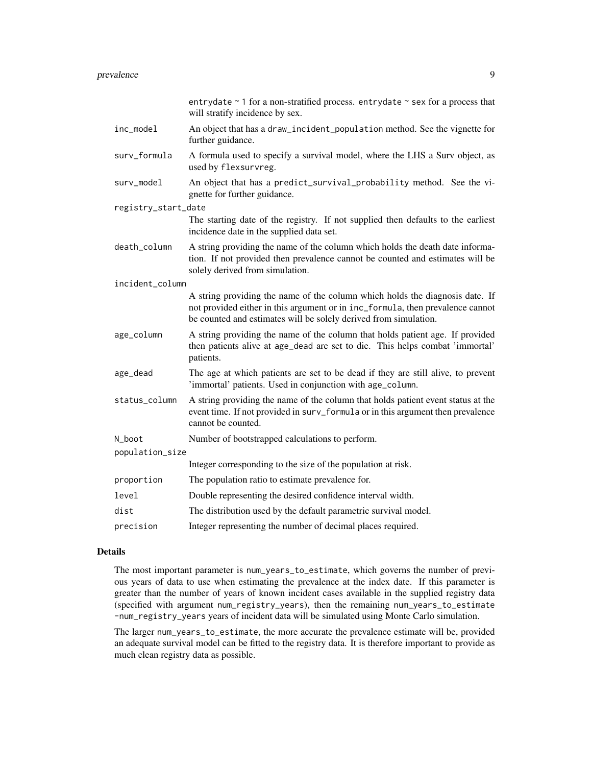|                     | entrydate $\sim$ 1 for a non-stratified process. entrydate $\sim$ sex for a process that<br>will stratify incidence by sex.                                                                                                        |
|---------------------|------------------------------------------------------------------------------------------------------------------------------------------------------------------------------------------------------------------------------------|
| inc_model           | An object that has a draw_incident_population method. See the vignette for<br>further guidance.                                                                                                                                    |
| surv_formula        | A formula used to specify a survival model, where the LHS a Surv object, as<br>used by flexsurvreg.                                                                                                                                |
| surv_model          | An object that has a predict_survival_probability method. See the vi-<br>gnette for further guidance.                                                                                                                              |
| registry_start_date |                                                                                                                                                                                                                                    |
|                     | The starting date of the registry. If not supplied then defaults to the earliest<br>incidence date in the supplied data set.                                                                                                       |
| death_column        | A string providing the name of the column which holds the death date informa-<br>tion. If not provided then prevalence cannot be counted and estimates will be<br>solely derived from simulation.                                  |
| incident_column     |                                                                                                                                                                                                                                    |
|                     | A string providing the name of the column which holds the diagnosis date. If<br>not provided either in this argument or in inc_formula, then prevalence cannot<br>be counted and estimates will be solely derived from simulation. |
| age_column          | A string providing the name of the column that holds patient age. If provided<br>then patients alive at age_dead are set to die. This helps combat 'immortal'<br>patients.                                                         |
| age_dead            | The age at which patients are set to be dead if they are still alive, to prevent<br>'immortal' patients. Used in conjunction with age_column.                                                                                      |
| status_column       | A string providing the name of the column that holds patient event status at the<br>event time. If not provided in surv_formula or in this argument then prevalence<br>cannot be counted.                                          |
| N_boot              | Number of bootstrapped calculations to perform.                                                                                                                                                                                    |
| population_size     |                                                                                                                                                                                                                                    |
|                     | Integer corresponding to the size of the population at risk.                                                                                                                                                                       |
| proportion          | The population ratio to estimate prevalence for.                                                                                                                                                                                   |
| level               | Double representing the desired confidence interval width.                                                                                                                                                                         |
| dist                | The distribution used by the default parametric survival model.                                                                                                                                                                    |
| precision           | Integer representing the number of decimal places required.                                                                                                                                                                        |

#### Details

The most important parameter is num\_years\_to\_estimate, which governs the number of previous years of data to use when estimating the prevalence at the index date. If this parameter is greater than the number of years of known incident cases available in the supplied registry data (specified with argument num\_registry\_years), then the remaining num\_years\_to\_estimate -num\_registry\_years years of incident data will be simulated using Monte Carlo simulation.

The larger num\_years\_to\_estimate, the more accurate the prevalence estimate will be, provided an adequate survival model can be fitted to the registry data. It is therefore important to provide as much clean registry data as possible.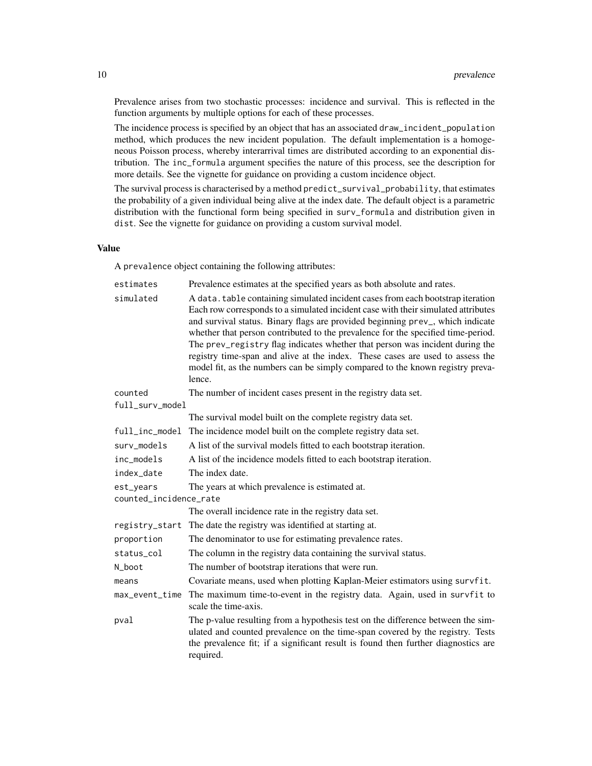Prevalence arises from two stochastic processes: incidence and survival. This is reflected in the function arguments by multiple options for each of these processes.

The incidence process is specified by an object that has an associated draw\_incident\_population method, which produces the new incident population. The default implementation is a homogeneous Poisson process, whereby interarrival times are distributed according to an exponential distribution. The inc\_formula argument specifies the nature of this process, see the description for more details. See the vignette for guidance on providing a custom incidence object.

The survival process is characterised by a method predict\_survival\_probability, that estimates the probability of a given individual being alive at the index date. The default object is a parametric distribution with the functional form being specified in surv\_formula and distribution given in dist. See the vignette for guidance on providing a custom survival model.

#### Value

A prevalence object containing the following attributes:

| estimates              | Prevalence estimates at the specified years as both absolute and rates.                                                                                                                                                                                                                                                                                                                                                                                                                                                                                                                                |  |
|------------------------|--------------------------------------------------------------------------------------------------------------------------------------------------------------------------------------------------------------------------------------------------------------------------------------------------------------------------------------------------------------------------------------------------------------------------------------------------------------------------------------------------------------------------------------------------------------------------------------------------------|--|
| simulated              | A data. table containing simulated incident cases from each bootstrap iteration<br>Each row corresponds to a simulated incident case with their simulated attributes<br>and survival status. Binary flags are provided beginning prev_, which indicate<br>whether that person contributed to the prevalence for the specified time-period.<br>The prev_registry flag indicates whether that person was incident during the<br>registry time-span and alive at the index. These cases are used to assess the<br>model fit, as the numbers can be simply compared to the known registry preva-<br>lence. |  |
| counted                | The number of incident cases present in the registry data set.                                                                                                                                                                                                                                                                                                                                                                                                                                                                                                                                         |  |
| $full\_surv\_model$    |                                                                                                                                                                                                                                                                                                                                                                                                                                                                                                                                                                                                        |  |
|                        | The survival model built on the complete registry data set.                                                                                                                                                                                                                                                                                                                                                                                                                                                                                                                                            |  |
| full_inc_model         | The incidence model built on the complete registry data set.                                                                                                                                                                                                                                                                                                                                                                                                                                                                                                                                           |  |
| surv_models            | A list of the survival models fitted to each bootstrap iteration.                                                                                                                                                                                                                                                                                                                                                                                                                                                                                                                                      |  |
| inc_models             | A list of the incidence models fitted to each bootstrap iteration.                                                                                                                                                                                                                                                                                                                                                                                                                                                                                                                                     |  |
| index date             | The index date.                                                                                                                                                                                                                                                                                                                                                                                                                                                                                                                                                                                        |  |
| est_years              | The years at which prevalence is estimated at.                                                                                                                                                                                                                                                                                                                                                                                                                                                                                                                                                         |  |
| counted_incidence_rate |                                                                                                                                                                                                                                                                                                                                                                                                                                                                                                                                                                                                        |  |
|                        | The overall incidence rate in the registry data set.                                                                                                                                                                                                                                                                                                                                                                                                                                                                                                                                                   |  |
| registry_start         | The date the registry was identified at starting at.                                                                                                                                                                                                                                                                                                                                                                                                                                                                                                                                                   |  |
| proportion             | The denominator to use for estimating prevalence rates.                                                                                                                                                                                                                                                                                                                                                                                                                                                                                                                                                |  |
| status_col             | The column in the registry data containing the survival status.                                                                                                                                                                                                                                                                                                                                                                                                                                                                                                                                        |  |
| N_boot                 | The number of bootstrap iterations that were run.                                                                                                                                                                                                                                                                                                                                                                                                                                                                                                                                                      |  |
| means                  | Covariate means, used when plotting Kaplan-Meier estimators using survfit.                                                                                                                                                                                                                                                                                                                                                                                                                                                                                                                             |  |
| max_event_time         | The maximum time-to-event in the registry data. Again, used in survfit to<br>scale the time-axis.                                                                                                                                                                                                                                                                                                                                                                                                                                                                                                      |  |
| pval                   | The p-value resulting from a hypothesis test on the difference between the sim-<br>ulated and counted prevalence on the time-span covered by the registry. Tests<br>the prevalence fit; if a significant result is found then further diagnostics are<br>required.                                                                                                                                                                                                                                                                                                                                     |  |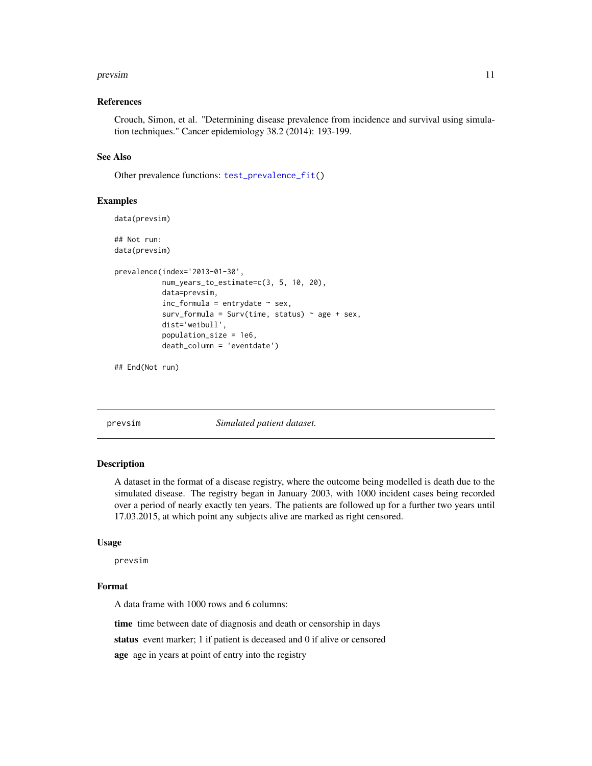#### <span id="page-10-0"></span>prevsim that the contract of the contract of the contract of the contract of the contract of the contract of the contract of the contract of the contract of the contract of the contract of the contract of the contract of t

#### References

Crouch, Simon, et al. "Determining disease prevalence from incidence and survival using simulation techniques." Cancer epidemiology 38.2 (2014): 193-199.

#### See Also

Other prevalence functions: [test\\_prevalence\\_fit\(](#page-16-1))

#### Examples

```
data(prevsim)
## Not run:
data(prevsim)
prevalence(index='2013-01-30',
           num_years_to_estimate=c(3, 5, 10, 20),
           data=prevsim,
           inc_formula = entrydate ~ sex,
           surv_formula = Surv(time, status) \sim age + sex,
           dist='weibull',
           population_size = 1e6,
           death_column = 'eventdate')
```
## End(Not run)

prevsim *Simulated patient dataset.*

#### **Description**

A dataset in the format of a disease registry, where the outcome being modelled is death due to the simulated disease. The registry began in January 2003, with 1000 incident cases being recorded over a period of nearly exactly ten years. The patients are followed up for a further two years until 17.03.2015, at which point any subjects alive are marked as right censored.

#### Usage

prevsim

#### Format

A data frame with 1000 rows and 6 columns:

time time between date of diagnosis and death or censorship in days

status event marker; 1 if patient is deceased and 0 if alive or censored

age age in years at point of entry into the registry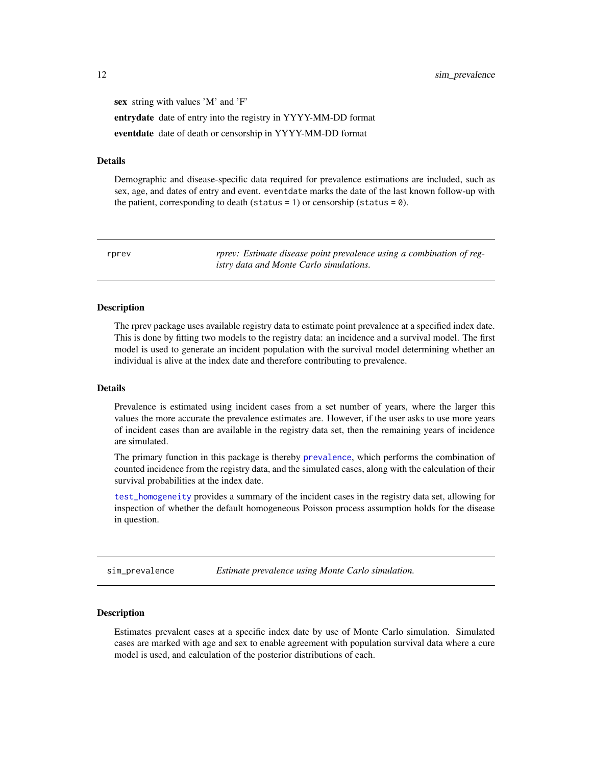<span id="page-11-0"></span>sex string with values 'M' and 'F' entrydate date of entry into the registry in YYYY-MM-DD format eventdate date of death or censorship in YYYY-MM-DD format

#### Details

Demographic and disease-specific data required for prevalence estimations are included, such as sex, age, and dates of entry and event. eventdate marks the date of the last known follow-up with the patient, corresponding to death (status = 1) or censorship (status =  $\theta$ ).

rprev *rprev: Estimate disease point prevalence using a combination of registry data and Monte Carlo simulations.*

#### Description

The rprev package uses available registry data to estimate point prevalence at a specified index date. This is done by fitting two models to the registry data: an incidence and a survival model. The first model is used to generate an incident population with the survival model determining whether an individual is alive at the index date and therefore contributing to prevalence.

#### Details

Prevalence is estimated using incident cases from a set number of years, where the larger this values the more accurate the prevalence estimates are. However, if the user asks to use more years of incident cases than are available in the registry data set, then the remaining years of incidence are simulated.

The primary function in this package is thereby [prevalence](#page-7-1), which performs the combination of counted incidence from the registry data, and the simulated cases, along with the calculation of their survival probabilities at the index date.

[test\\_homogeneity](#page-14-1) provides a summary of the incident cases in the registry data set, allowing for inspection of whether the default homogeneous Poisson process assumption holds for the disease in question.

sim\_prevalence *Estimate prevalence using Monte Carlo simulation.*

#### Description

Estimates prevalent cases at a specific index date by use of Monte Carlo simulation. Simulated cases are marked with age and sex to enable agreement with population survival data where a cure model is used, and calculation of the posterior distributions of each.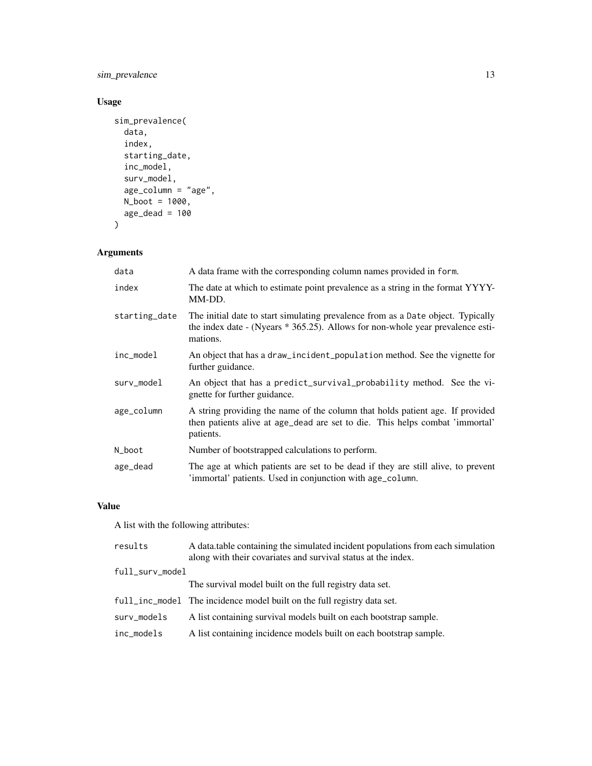sim\_prevalence 13

# Usage

```
sim_prevalence(
  data,
  index,
  starting_date,
  inc_model,
  surv_model,
  age\_column = "age",N_boot = 1000,
  age\_dead = 100)
```
# Arguments

| data          | A data frame with the corresponding column names provided in form.                                                                                                             |
|---------------|--------------------------------------------------------------------------------------------------------------------------------------------------------------------------------|
| index         | The date at which to estimate point prevalence as a string in the format YYYY-<br>MM-DD.                                                                                       |
| starting_date | The initial date to start simulating prevalence from as a Date object. Typically<br>the index date - (Nyears * 365.25). Allows for non-whole year prevalence esti-<br>mations. |
| inc_model     | An object that has a draw_incident_population method. See the vignette for<br>further guidance.                                                                                |
| surv_model    | An object that has a predict_survival_probability method. See the vi-<br>gnette for further guidance.                                                                          |
| age_column    | A string providing the name of the column that holds patient age. If provided<br>then patients alive at age_dead are set to die. This helps combat 'immortal'<br>patients.     |
| N_boot        | Number of bootstrapped calculations to perform.                                                                                                                                |
| age_dead      | The age at which patients are set to be dead if they are still alive, to prevent<br>'immortal' patients. Used in conjunction with age_column.                                  |

# Value

A list with the following attributes:

| A data table containing the simulated incident populations from each simulation |
|---------------------------------------------------------------------------------|
|                                                                                 |
|                                                                                 |
|                                                                                 |
|                                                                                 |
|                                                                                 |
|                                                                                 |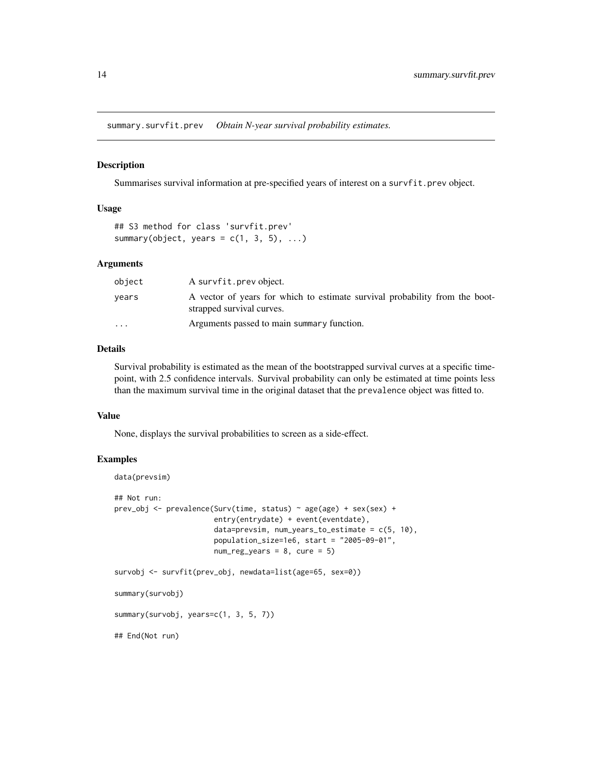<span id="page-13-0"></span>summary.survfit.prev *Obtain N-year survival probability estimates.*

#### Description

Summarises survival information at pre-specified years of interest on a survfit.prev object.

#### Usage

## S3 method for class 'survfit.prev' summary(object, years =  $c(1, 3, 5), ...$ )

#### Arguments

| object                  | A survfit.prev object.                                                                                   |
|-------------------------|----------------------------------------------------------------------------------------------------------|
| vears                   | A vector of years for which to estimate survival probability from the boot-<br>strapped survival curves. |
| $\cdot$ $\cdot$ $\cdot$ | Arguments passed to main summary function.                                                               |

#### Details

Survival probability is estimated as the mean of the bootstrapped survival curves at a specific timepoint, with 2.5 confidence intervals. Survival probability can only be estimated at time points less than the maximum survival time in the original dataset that the prevalence object was fitted to.

# Value

None, displays the survival probabilities to screen as a side-effect.

#### Examples

```
data(prevsim)
## Not run:
prev_obj <- prevalence(Surv(time, status) ~ age(age) + sex(sex) +
                       entry(entrydate) + event(eventdate),
                       data=prevsim, num_years_to_estimate = c(5, 10),
                       population_size=1e6, start = "2005-09-01",
                       num\_reg\_years = 8, cure = 5)
survobj <- survfit(prev_obj, newdata=list(age=65, sex=0))
summary(survobj)
summary(survobj, years=c(1, 3, 5, 7))
## End(Not run)
```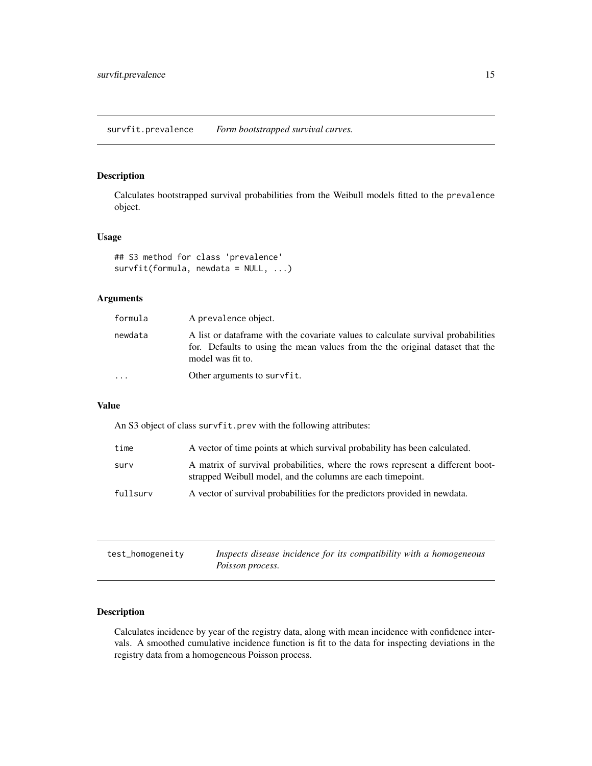# <span id="page-14-0"></span>Description

Calculates bootstrapped survival probabilities from the Weibull models fitted to the prevalence object.

#### Usage

```
## S3 method for class 'prevalence'
survfit(formula, newdata = NULL, ...)
```
# Arguments

| formula  | A prevalence object.                                                                                                                                                                     |
|----------|------------------------------------------------------------------------------------------------------------------------------------------------------------------------------------------|
| newdata  | A list or data frame with the covariate values to calculate survival probabilities<br>for. Defaults to using the mean values from the the original dataset that the<br>model was fit to. |
| $\cdots$ | Other arguments to survfit.                                                                                                                                                              |

# Value

An S3 object of class survfit.prev with the following attributes:

| time     | A vector of time points at which survival probability has been calculated.                                                                    |
|----------|-----------------------------------------------------------------------------------------------------------------------------------------------|
| surv     | A matrix of survival probabilities, where the rows represent a different boot-<br>strapped Weibull model, and the columns are each timepoint. |
| fullsurv | A vector of survival probabilities for the predictors provided in newdata.                                                                    |

<span id="page-14-1"></span>

| test_homogeneity | Inspects disease incidence for its compatibility with a homogeneous |
|------------------|---------------------------------------------------------------------|
|                  | Poisson process.                                                    |

# Description

Calculates incidence by year of the registry data, along with mean incidence with confidence intervals. A smoothed cumulative incidence function is fit to the data for inspecting deviations in the registry data from a homogeneous Poisson process.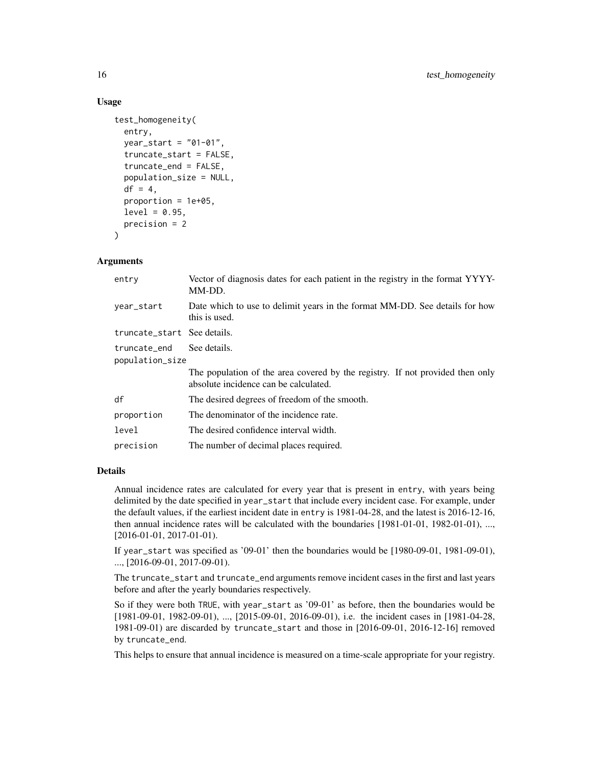#### Usage

```
test_homogeneity(
  entry,
  year_start = "01-01",
  truncate_start = FALSE,
  truncate_end = FALSE,
  population_size = NULL,
  df = 4,
  proportion = 1e+05,
  level = 0.95,precision = 2
)
```
#### Arguments

| Vector of diagnosis dates for each patient in the registry in the format YYYY-<br>entry<br>MM-DD.                      |  |
|------------------------------------------------------------------------------------------------------------------------|--|
| Date which to use to delimit years in the format MM-DD. See details for how<br>year_start<br>this is used.             |  |
| truncate_start See details.                                                                                            |  |
| See details.<br>truncate end<br>population_size                                                                        |  |
| The population of the area covered by the registry. If not provided then only<br>absolute incidence can be calculated. |  |
| df<br>The desired degrees of freedom of the smooth.                                                                    |  |
| The denominator of the incidence rate.<br>proportion                                                                   |  |
| level<br>The desired confidence interval width.                                                                        |  |
| precision<br>The number of decimal places required.                                                                    |  |

#### Details

Annual incidence rates are calculated for every year that is present in entry, with years being delimited by the date specified in year\_start that include every incident case. For example, under the default values, if the earliest incident date in entry is 1981-04-28, and the latest is 2016-12-16, then annual incidence rates will be calculated with the boundaries [1981-01-01, 1982-01-01), ..., [2016-01-01, 2017-01-01).

If year\_start was specified as '09-01' then the boundaries would be [1980-09-01, 1981-09-01), ..., [2016-09-01, 2017-09-01).

The truncate\_start and truncate\_end arguments remove incident cases in the first and last years before and after the yearly boundaries respectively.

So if they were both TRUE, with year\_start as '09-01' as before, then the boundaries would be [1981-09-01, 1982-09-01), ..., [2015-09-01, 2016-09-01), i.e. the incident cases in [1981-04-28, 1981-09-01) are discarded by truncate\_start and those in [2016-09-01, 2016-12-16] removed by truncate\_end.

This helps to ensure that annual incidence is measured on a time-scale appropriate for your registry.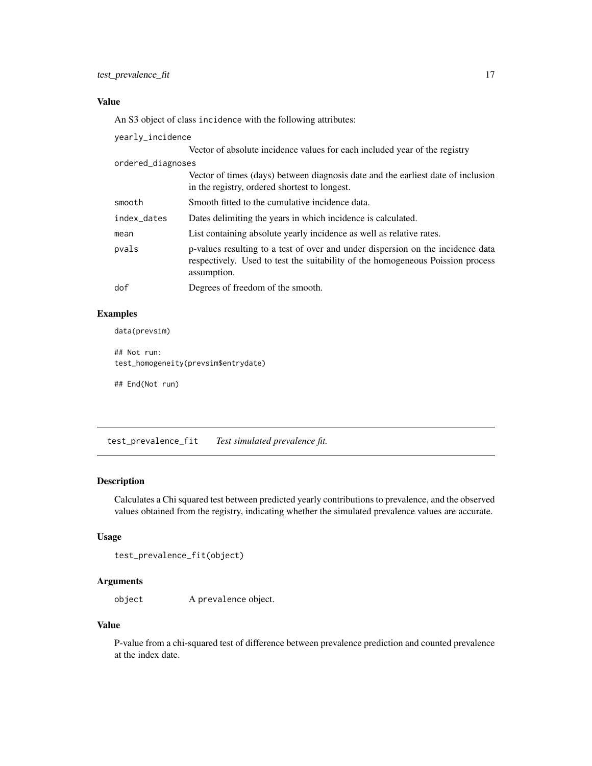# <span id="page-16-0"></span>Value

An S3 object of class incidence with the following attributes:

yearly\_incidence

|                   | Vector of absolute incidence values for each included year of the registry                                                                                                       |
|-------------------|----------------------------------------------------------------------------------------------------------------------------------------------------------------------------------|
| ordered_diagnoses |                                                                                                                                                                                  |
|                   | Vector of times (days) between diagnosis date and the earliest date of inclusion<br>in the registry, ordered shortest to longest.                                                |
| smooth            | Smooth fitted to the cumulative incidence data.                                                                                                                                  |
| index_dates       | Dates delimiting the years in which incidence is calculated.                                                                                                                     |
| mean              | List containing absolute yearly incidence as well as relative rates.                                                                                                             |
| pvals             | p-values resulting to a test of over and under dispersion on the incidence data<br>respectively. Used to test the suitability of the homogeneous Poission process<br>assumption. |
| dof               | Degrees of freedom of the smooth.                                                                                                                                                |

# Examples

data(prevsim)

## Not run: test\_homogeneity(prevsim\$entrydate)

## End(Not run)

<span id="page-16-1"></span>test\_prevalence\_fit *Test simulated prevalence fit.*

# Description

Calculates a Chi squared test between predicted yearly contributions to prevalence, and the observed values obtained from the registry, indicating whether the simulated prevalence values are accurate.

# Usage

```
test_prevalence_fit(object)
```
# Arguments

object A prevalence object.

#### Value

P-value from a chi-squared test of difference between prevalence prediction and counted prevalence at the index date.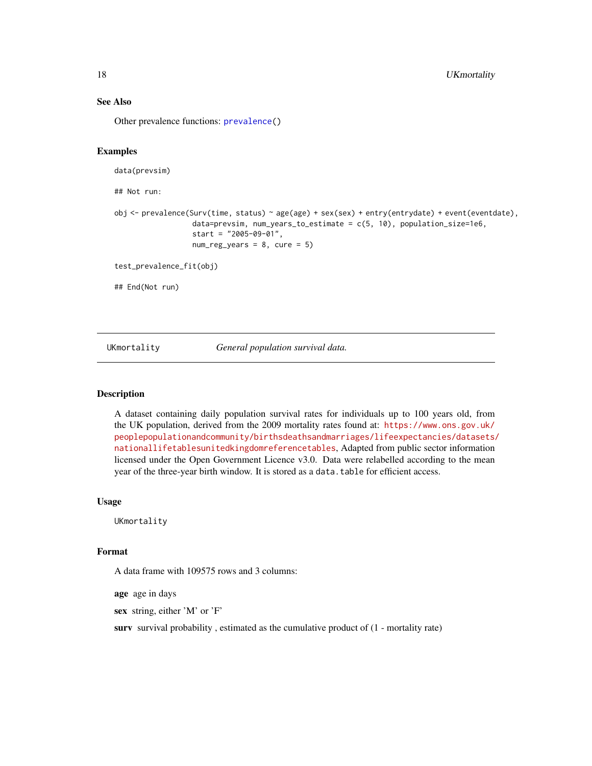# See Also

Other prevalence functions: [prevalence\(](#page-7-1))

#### Examples

```
data(prevsim)
## Not run:
obj <- prevalence(Surv(time, status) ~ age(age) + sex(sex) + entry(entrydate) + event(eventdate),
                  data=prevsim, num_years_to_estimate = c(5, 10), population_size=1e6,
                  start = "2005-09-01",
                  num\_reg\_years = 8, cure = 5)
test_prevalence_fit(obj)
## End(Not run)
```
#### UKmortality *General population survival data.*

# Description

A dataset containing daily population survival rates for individuals up to 100 years old, from the UK population, derived from the 2009 mortality rates found at: [https://www.ons.gov.uk/](https://www.ons.gov.uk/peoplepopulationandcommunity/birthsdeathsandmarriages/lifeexpectancies/datasets/nationallifetablesunitedkingdomreferencetables) [peoplepopulationandcommunity/birthsdeathsandmarriages/lifeexpectancies/datasets/](https://www.ons.gov.uk/peoplepopulationandcommunity/birthsdeathsandmarriages/lifeexpectancies/datasets/nationallifetablesunitedkingdomreferencetables) [nationallifetablesunitedkingdomreferencetables](https://www.ons.gov.uk/peoplepopulationandcommunity/birthsdeathsandmarriages/lifeexpectancies/datasets/nationallifetablesunitedkingdomreferencetables), Adapted from public sector information licensed under the Open Government Licence v3.0. Data were relabelled according to the mean year of the three-year birth window. It is stored as a data.table for efficient access.

#### Usage

UKmortality

#### Format

A data frame with 109575 rows and 3 columns:

age age in days

sex string, either 'M' or 'F'

surv survival probability, estimated as the cumulative product of  $(1$  - mortality rate)

<span id="page-17-0"></span>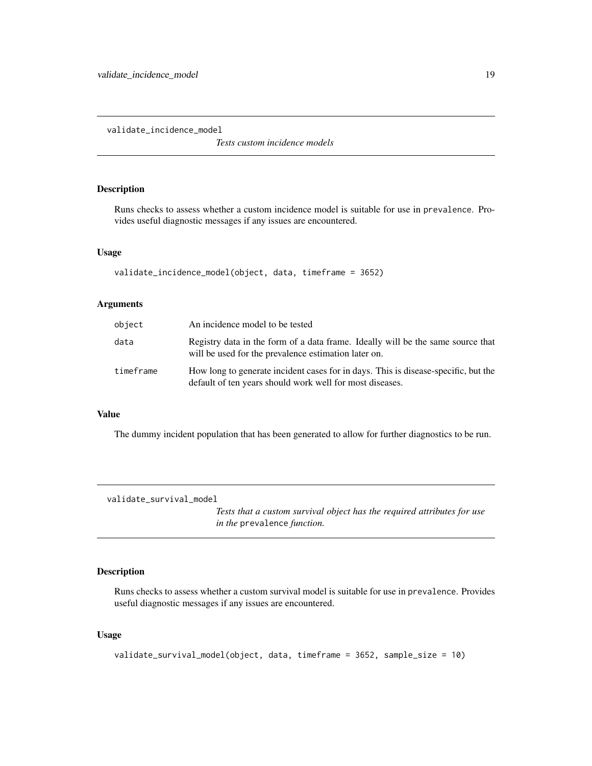<span id="page-18-0"></span>validate\_incidence\_model

*Tests custom incidence models*

# Description

Runs checks to assess whether a custom incidence model is suitable for use in prevalence. Provides useful diagnostic messages if any issues are encountered.

#### Usage

```
validate_incidence_model(object, data, timeframe = 3652)
```
# Arguments

| object    | An incidence model to be tested                                                                                                                |
|-----------|------------------------------------------------------------------------------------------------------------------------------------------------|
| data      | Registry data in the form of a data frame. Ideally will be the same source that<br>will be used for the prevalence estimation later on.        |
| timeframe | How long to generate incident cases for in days. This is disease-specific, but the<br>default of ten years should work well for most diseases. |

#### Value

The dummy incident population that has been generated to allow for further diagnostics to be run.

validate\_survival\_model

*Tests that a custom survival object has the required attributes for use in the* prevalence *function.*

#### Description

Runs checks to assess whether a custom survival model is suitable for use in prevalence. Provides useful diagnostic messages if any issues are encountered.

#### Usage

```
validate_survival_model(object, data, timeframe = 3652, sample_size = 10)
```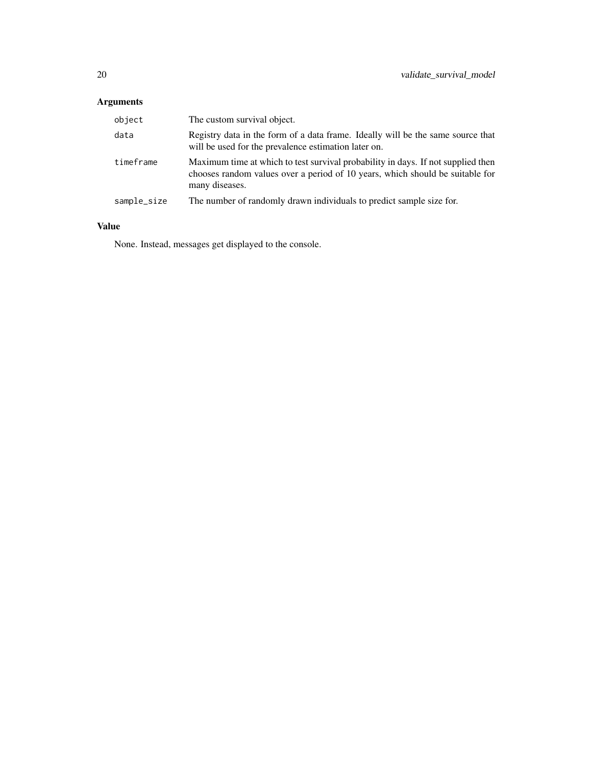# Arguments

| object      | The custom survival object.                                                                                                                                                         |
|-------------|-------------------------------------------------------------------------------------------------------------------------------------------------------------------------------------|
| data        | Registry data in the form of a data frame. Ideally will be the same source that<br>will be used for the prevalence estimation later on.                                             |
| timeframe   | Maximum time at which to test survival probability in days. If not supplied then<br>chooses random values over a period of 10 years, which should be suitable for<br>many diseases. |
| sample_size | The number of randomly drawn individuals to predict sample size for.                                                                                                                |

# Value

None. Instead, messages get displayed to the console.